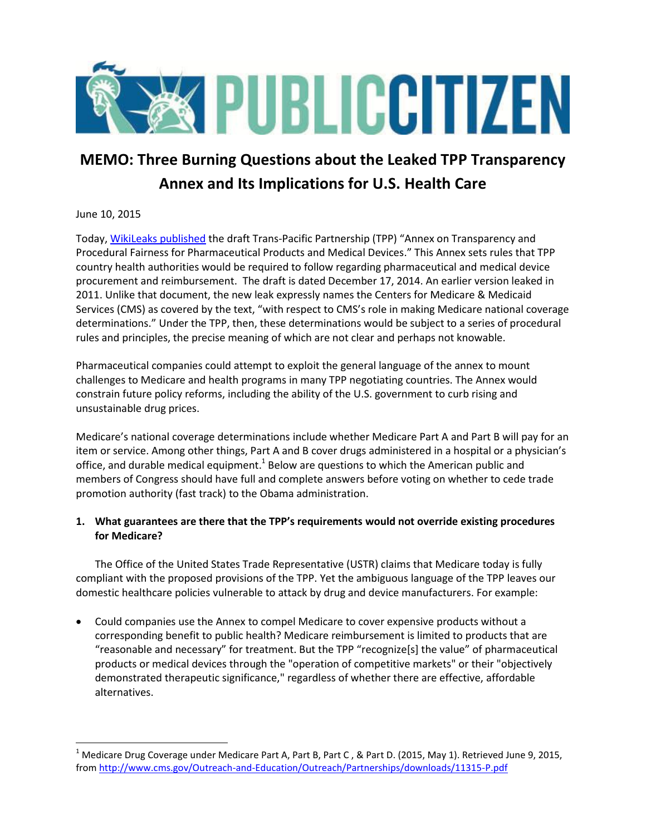

# **MEMO: Three Burning Questions about the Leaked TPP Transparency Annex and Its Implications for U.S. Health Care**

## June 10, 2015

 $\overline{\phantom{a}}$ 

Today, [WikiLeaks published](https://wikileaks.org/tpp/healthcare/) the draft Trans-Pacific Partnership (TPP) "Annex on Transparency and Procedural Fairness for Pharmaceutical Products and Medical Devices." This Annex sets rules that TPP country health authorities would be required to follow regarding pharmaceutical and medical device procurement and reimbursement. The draft is dated December 17, 2014. An earlier version leaked in 2011. Unlike that document, the new leak expressly names the Centers for Medicare & Medicaid Services (CMS) as covered by the text, "with respect to CMS's role in making Medicare national coverage determinations." Under the TPP, then, these determinations would be subject to a series of procedural rules and principles, the precise meaning of which are not clear and perhaps not knowable.

Pharmaceutical companies could attempt to exploit the general language of the annex to mount challenges to Medicare and health programs in many TPP negotiating countries. The Annex would constrain future policy reforms, including the ability of the U.S. government to curb rising and unsustainable drug prices.

Medicare's national coverage determinations include whether Medicare Part A and Part B will pay for an item or service. Among other things, Part A and B cover drugs administered in a hospital or a physician's office, and durable medical equipment.<sup>1</sup> Below are questions to which the American public and members of Congress should have full and complete answers before voting on whether to cede trade promotion authority (fast track) to the Obama administration.

## **1. What guarantees are there that the TPP's requirements would not override existing procedures for Medicare?**

The Office of the United States Trade Representative (USTR) claims that Medicare today is fully compliant with the proposed provisions of the TPP. Yet the ambiguous language of the TPP leaves our domestic healthcare policies vulnerable to attack by drug and device manufacturers. For example:

 Could companies use the Annex to compel Medicare to cover expensive products without a corresponding benefit to public health? Medicare reimbursement is limited to products that are "reasonable and necessary" for treatment. But the TPP "recognize[s] the value" of pharmaceutical products or medical devices through the "operation of competitive markets" or their "objectively demonstrated therapeutic significance," regardless of whether there are effective, affordable alternatives.

<sup>&</sup>lt;sup>1</sup> Medicare Drug Coverage under Medicare Part A, Part B, Part C, & Part D. (2015, May 1). Retrieved June 9, 2015, from<http://www.cms.gov/Outreach-and-Education/Outreach/Partnerships/downloads/11315-P.pdf>